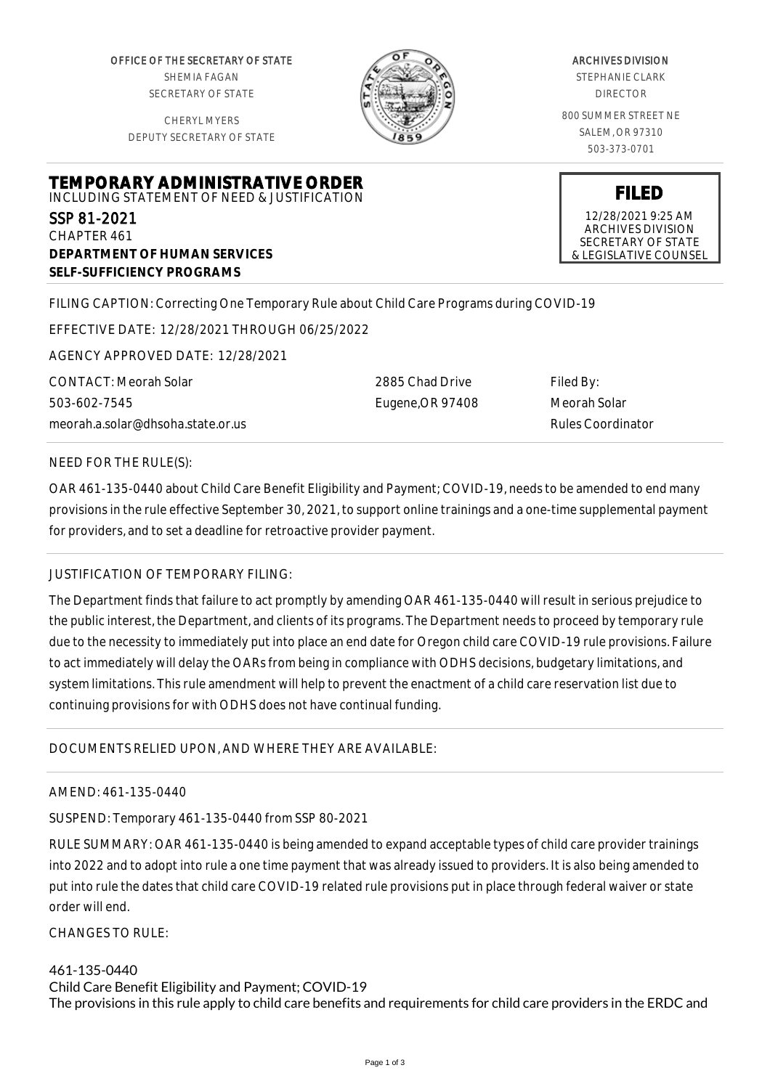OFFICE OF THE SECRETARY OF STATE SHEMIA FAGAN SECRETARY OF STATE

CHERYL MYERS DEPUTY SECRETARY OF STATE



### ARCHIVES DIVISION

STEPHANIE CLARK DIRECTOR

800 SUMMER STREET NE SALEM, OR 97310 503-373-0701

**FILED** 12/28/2021 9:25 AM ARCHIVES DIVISION SECRETARY OF STATE & LEGISLATIVE COUNSEL

# **TEMPORARY ADMINISTRATIVE ORDER** INCLUDING STATEMENT OF NEED & JUSTIFICATION SSP 81-2021 CHAPTER 461

**DEPARTMENT OF HUMAN SERVICES SELF-SUFFICIENCY PROGRAMS**

FILING CAPTION: Correcting One Temporary Rule about Child Care Programs during COVID-19

EFFECTIVE DATE: 12/28/2021 THROUGH 06/25/2022

AGENCY APPROVED DATE: 12/28/2021

CONTACT: Meorah Solar 503-602-7545 meorah.a.solar@dhsoha.state.or.us 2885 Chad Drive Eugene,OR 97408 Filed By: Meorah Solar Rules Coordinator

## NEED FOR THE RULE(S):

OAR 461-135-0440 about Child Care Benefit Eligibility and Payment; COVID-19, needs to be amended to end many provisions in the rule effective September 30, 2021, to support online trainings and a one-time supplemental payment for providers, and to set a deadline for retroactive provider payment.

## JUSTIFICATION OF TEMPORARY FILING:

The Department finds that failure to act promptly by amending OAR 461-135-0440 will result in serious prejudice to the public interest, the Department, and clients of its programs. The Department needs to proceed by temporary rule due to the necessity to immediately put into place an end date for Oregon child care COVID-19 rule provisions. Failure to act immediately will delay the OARs from being in compliance with ODHS decisions, budgetary limitations, and system limitations. This rule amendment will help to prevent the enactment of a child care reservation list due to continuing provisions for with ODHS does not have continual funding.

## DOCUMENTS RELIED UPON, AND WHERE THEY ARE AVAILABLE:

## AMEND: 461-135-0440

SUSPEND: Temporary 461-135-0440 from SSP 80-2021

RULE SUMMARY: OAR 461-135-0440 is being amended to expand acceptable types of child care provider trainings into 2022 and to adopt into rule a one time payment that was already issued to providers. It is also being amended to put into rule the dates that child care COVID-19 related rule provisions put in place through federal waiver or state order will end.

 $CHANGFS TO RIIF$ 

## 461-135-0440

Child Care Benefit Eligibility and Payment; COVID-19 The provisions in this rule apply to child care benefits and requirements for child care providers in the ERDC and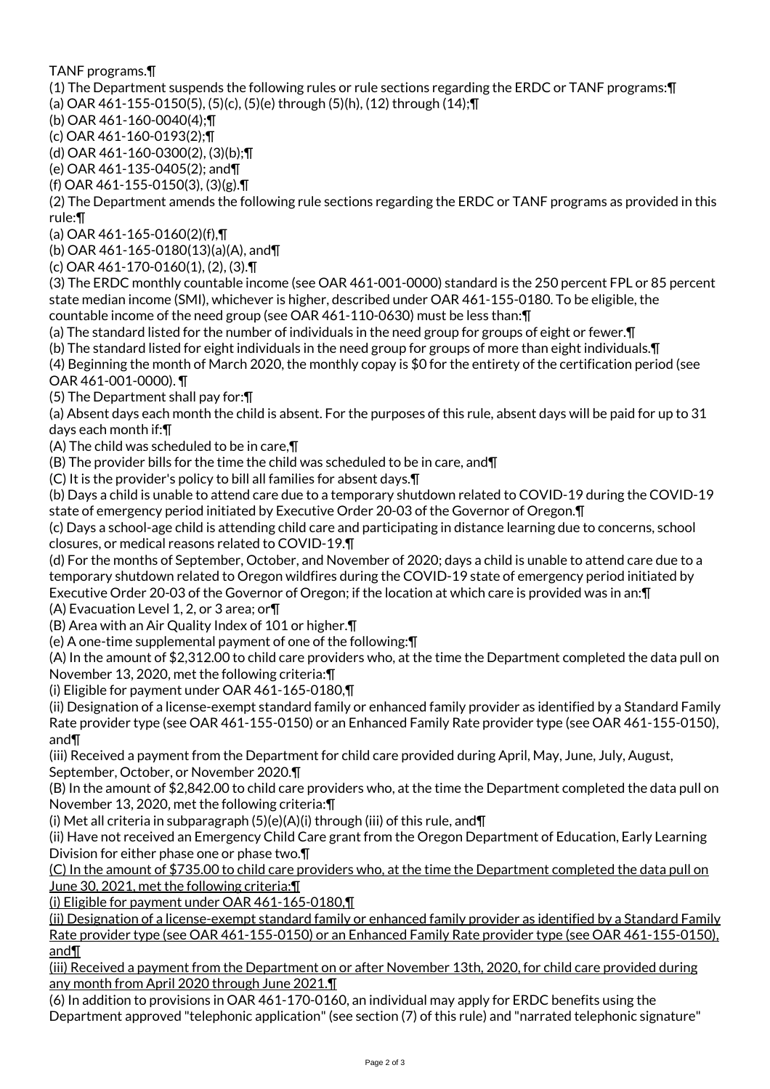TANF programs.¶

(1) The Department suspends the following rules or rule sections regarding the ERDC or TANF programs:¶

(a) OAR 461-155-0150(5), (5)(c), (5)(e) through (5)(h), (12) through (14);¶

(b) OAR 461-160-0040(4);¶

(c) OAR 461-160-0193(2);¶

(d) OAR 461-160-0300(2), (3)(b);¶

(e) OAR 461-135-0405(2); and¶

(f) OAR 461-155-0150(3), (3)(g).¶

(2) The Department amends the following rule sections regarding the ERDC or TANF programs as provided in this rule:¶

(a) OAR 461-165-0160(2)(f),¶

(b) OAR 461-165-0180(13)(a)(A), and¶

(c) OAR 461-170-0160(1), (2), (3).¶

(3) The ERDC monthly countable income (see OAR 461-001-0000) standard is the 250 percent FPL or 85 percent state median income (SMI), whichever is higher, described under OAR 461-155-0180. To be eligible, the countable income of the need group (see OAR 461-110-0630) must be less than:¶

(a) The standard listed for the number of individuals in the need group for groups of eight or fewer.¶

(b) The standard listed for eight individuals in the need group for groups of more than eight individuals.¶

(4) Beginning the month of March 2020, the monthly copay is \$0 for the entirety of the certification period (see OAR 461-001-0000). ¶

(5) The Department shall pay for:¶

(a) Absent days each month the child is absent. For the purposes of this rule, absent days will be paid for up to 31 days each month if:¶

(A) The child was scheduled to be in care,¶

(B) The provider bills for the time the child was scheduled to be in care, and¶

(C) It is the provider's policy to bill all families for absent days.¶

(b) Days a child is unable to attend care due to a temporary shutdown related to COVID-19 during the COVID-19 state of emergency period initiated by Executive Order 20-03 of the Governor of Oregon.¶

(c) Days a school-age child is attending child care and participating in distance learning due to concerns, school closures, or medical reasons related to COVID-19.¶

(d) For the months of September, October, and November of 2020; days a child is unable to attend care due to a temporary shutdown related to Oregon wildfires during the COVID-19 state of emergency period initiated by Executive Order 20-03 of the Governor of Oregon; if the location at which care is provided was in an:¶

(A) Evacuation Level 1, 2, or 3 area; or¶

(B) Area with an Air Quality Index of 101 or higher.¶

(e) A one-time supplemental payment of one of the following:¶

(A) In the amount of \$2,312.00 to child care providers who, at the time the Department completed the data pull on November 13, 2020, met the following criteria:¶

(i) Eligible for payment under OAR 461-165-0180,¶

(ii) Designation of a license-exempt standard family or enhanced family provider as identified by a Standard Family Rate provider type (see OAR 461-155-0150) or an Enhanced Family Rate provider type (see OAR 461-155-0150), and¶

(iii) Received a payment from the Department for child care provided during April, May, June, July, August, September, October, or November 2020.¶

(B) In the amount of \$2,842.00 to child care providers who, at the time the Department completed the data pull on November 13, 2020, met the following criteria:¶

(i) Met all criteria in subparagraph (5)(e)(A)(i) through (iii) of this rule, and¶

(ii) Have not received an Emergency Child Care grant from the Oregon Department of Education, Early Learning Division for either phase one or phase two.¶

(C) In the amount of \$735.00 to child care providers who, at the time the Department completed the data pull on June 30, 2021, met the following criteria:¶

(i) Eligible for payment under OAR 461-165-0180,¶

(ii) Designation of a license-exempt standard family or enhanced family provider as identified by a Standard Family Rate provider type (see OAR 461-155-0150) or an Enhanced Family Rate provider type (see OAR 461-155-0150), and¶

(iii) Received a payment from the Department on or after November 13th, 2020, for child care provided during any month from April 2020 through June 2021.¶

(6) In addition to provisions in OAR 461-170-0160, an individual may apply for ERDC benefits using the Department approved "telephonic application" (see section (7) of this rule) and "narrated telephonic signature"